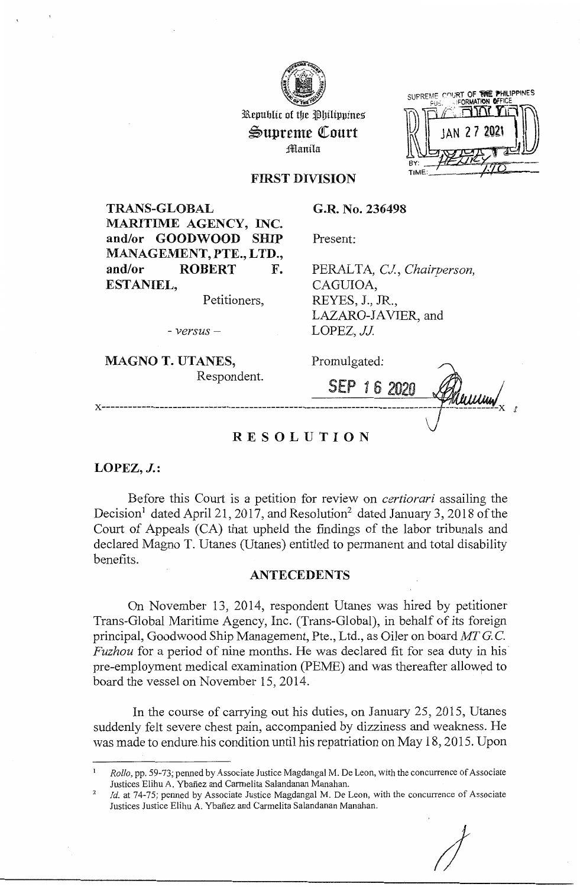

Republic of the Philippines ~upreme QCourt fflanila

SUPREME COURT OF THE PHILIPPINES

## **FIRST DIVISION**

**TRANS-GLOBAL MARITIME AGENCY, INC. and/or GOODWOOD SHIP MANAGEMENT, PTE., LTD., and/or ROBERT F. ESTANIEL,** 

Petitioners,

**G.R. No. 236498** 

Present:

PERALTA, *CJ., Chairperson,*  CAGUIOA, REYES, J., JR., LAZARO-JAVIER, and LOPEZ, *JJ.* 

- *versus* -

**MAGNO T. UTANES,**  Respondent. Promulgated:

SEP 1 6 2020 Phillin **x---------------------------------------------------------------------------** *I* 

*J* 

# **RESOLUTION**

**LOPEZ, J.:** 

Before this Court is a petition for review on *certiorari* assailing the Decision<sup>1</sup> dated April 21, 2017, and Resolution<sup>2</sup> dated January 3, 2018 of the Court of Appeals (CA) that upheld the findings of the labor tribunals and declared Magno T. Utanes (Utanes) entitled to permanent and total disability benefits.

## **ANTECEDENTS**

On November 13, 2014, respondent Utanes was hired by petitioner Trans-Global Maritime Agency, Inc. (Trans-Global), in behalf of its foreign principal, Goodwood Ship Management, Pte., Ltd., as Oiler on board MTG.C. *Fuzhou* for a period of nine months. He was declared fit for sea duty in his<sup>-</sup> pre-employment medical examination (PEME) and was thereafter allowed to board the vessel on November 15, 2014.

In the course of carrying out his duties, on January 25, 2015, Utanes suddenly felt severe chest pain, accompanied by dizziness and weakness. He was made to endure.his condition until his repatriation on May 18, 2015. Upon

<sup>1</sup>*Rollo,* pp. 59-73; penned by Associate Justice Magdangal M. De Leon, with the concurrence of Associate Justices Elihu A. Ybañez and Carmelita Salandanan Manahan.

<sup>2</sup>*Id.* at 74-75; penned by Associate Justice Magdangal M. De Leon, with the concurrence of Associate Justices Justice Elihu A. Ybañez and Carmelita Salandanan Manahan.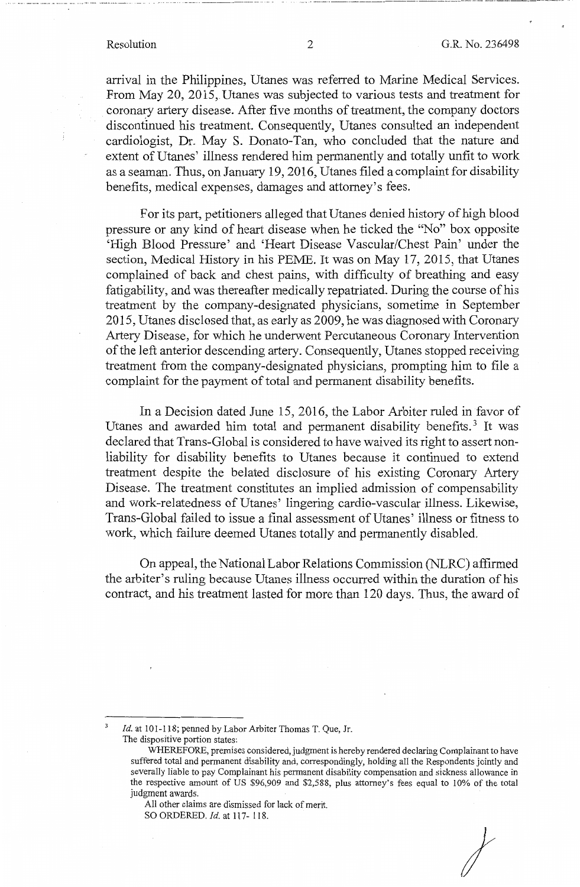$\cdots$  ,  $\cdots$  ,  $\cdots$  ,  $\cdots$  ,  $\cdots$  ,  $\cdots$  ,  $\cdots$  ,  $\cdots$  ,  $\cdots$  ,  $\cdots$  ,  $\cdots$  ,  $\cdots$  ,  $\cdots$  ,  $\cdots$  ,  $\cdots$  ,  $\cdots$  ,  $\cdots$  ,  $\cdots$  ,  $\cdots$  ,  $\cdots$  ,  $\cdots$  ,  $\cdots$  ,  $\cdots$  ,  $\cdots$  ,  $\cdots$  ,  $\cdots$  ,  $\cdots$  ,  $\cdots$ 

arrival in the Philippines, Utanes was referred to Marine Medical Services. From May 20, 2015, Utanes was subjected to various tests and treatment for coronary artery disease. After five months of treatment, the company doctors discontinued his treatment. Consequently, Utanes consulted an independent cardiologist, Dr. May S. Donato-Tan, who concluded that the nature and extent of Utanes' illness rendered him permanently and totally unfit to work as a seaman. Thus, on January 19, 2016, Utanes filed a complaint for disability benefits, medical expenses, damages and attorney's fees.

For its part, petitioners alleged that Utanes denied history of high blood pressure or any kind of heart disease when he ticked the "No" box opposite 'High Blood Pressure' and 'Heart Disease Vascular/Chest Pain' under the section, Medical History in his PEME. It was on May 17, 2015, that Utanes complained of back and chest pains, with difficulty of breathing and easy fatigability, and was thereafter medically repatriated. During the course of his treatment by the company-designated physicians, sometime in September 2015, Utanes disclosed that, as early as 2009, he was diagnosed with Coronary Artery Disease, for which he underwent Percutaneous Coronary Intervention of the left anterior descending artery. Consequently, Utanes stopped receiving treatment from the company-designated physicians, prompting him to file a complaint for the payment of total and permanent disability benefits.

In a Decision dated June 15, 2016, the Labor Arbiter ruled in favor of Utanes and awarded him total and permanent disability benefits.<sup>3</sup> It was declared that Trans-Global is considered to have waived its right to assert nonliability for disability benefits to Utanes because it continued to extend treatment despite the belated disclosure of his existing Coronary Artery Disease. The treatment constitutes an implied admission of compensability and work-relatedness of Utanes' lingering cardio-vascular illness. Likewise, Trans-Global failed to issue a final assessment of Utanes' illness or fitness to work, which failure deemed Utanes totally and permanently disabled.

On appeal, the National Labor Relations Commission (NLRC) affirmed the arbiter's ruling because Utanes illness occurred within the duration of his contract, and his treatment lasted for more than 120 days. Thus, the award of

*I* 

*Id.* at 101-118; penned by Labor Arbiter Thomas T. Que, Jr. The dispositive portion states:

WHEREFORE, premises considered, judgment is hereby rendered declaring Complainant to have suffered total and permanent disability and, correspondingly, holding all the Respondents jointly and severally liable to pay Complainant his permanent disability compensation and sickness allowance in the respective amount of US \$96,909 and \$2,588, plus attorney's fees equal to 10% of the total judgment awards.

All other claims are dismissed for lack of merit. SO ORDERED. Id. at 117-118.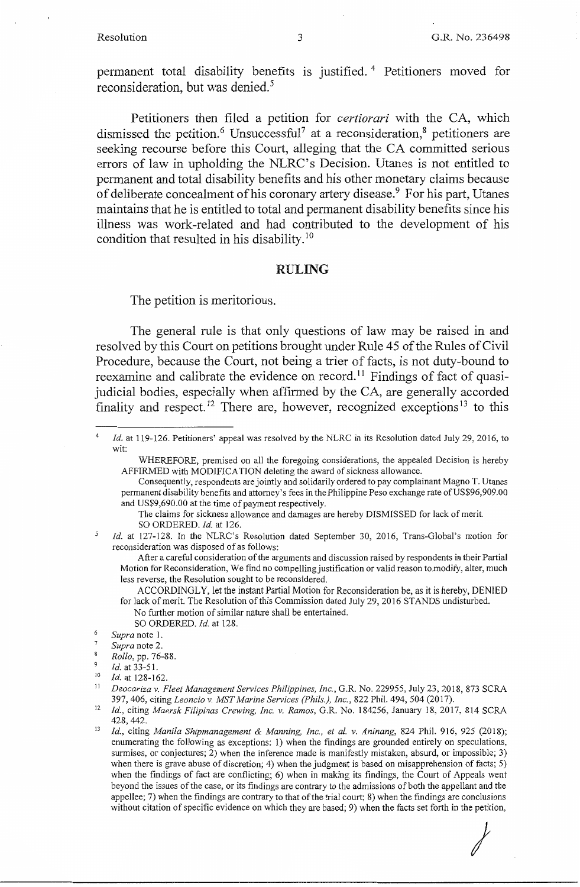Petitioners then filed a petition for *certiorari* with the CA, which dismissed the petition.<sup>6</sup> Unsuccessful<sup>7</sup> at a reconsideration,<sup>8</sup> petitioners are seeking recourse before this Court, alleging that the CA committed serious errors of law in upholding the NLRC's Decision. Utanes is not entitled to permanent and total disability benefits and his other monetary claims because of deliberate concealment of his coronary artery disease.<sup>9</sup> For his part, Utanes maintains that he is entitled to total and permanent disability benefits since his illness was work-related and had contributed to the development of his condition that resulted in his disability. <sup>10</sup>

## **RULING**

The petition is meritorious.

The general rule is that only questions of law may be raised in and resolved by this Court on petitions brought under Rule 45 of the Rules of Civil Procedure, because the Court, not being a trier of facts, is not duty-bound to reexamine and calibrate the evidence on record.<sup>11</sup> Findings of fact of quasijudicial bodies, especially when affirmed by the CA, are generally accorded finality and respect. 12 There are, however, recognized exceptions 13 to this

5 *Id.* at 127-128. In the NLRC's Resolution dated September 30, 2016, Trans-Global's motion for reconsideration was disposed of as follows:

After a careful consideration of the arguments and discussion raised by respondents in their Partial Motion for Reconsideration, We find no compelling justification or valid reason to.modify, alter, much less reverse, the Resolution sought to be reconsidered.

- ACCORDINGLY, let the instant Partial Motion for Reconsideration be, as it is hereby, DENIED for lack of merit. The Resolution of this Commission dated July 29, 2016 STANDS undisturbed. No further motion of similar nature shall be entertained.
	- SO ORDERED. *Id.* at 128.
- <sup>6</sup>*Supra* note **1.**
- <sup>7</sup>*Supra* note 2.
- 8 *Rollo,* pp. 76-88.

<sup>11</sup>*Deocariza v. Fleet Management Services Philippines, Inc.,* G.R. No. 229955, July 23, 2018, 873 SCRA 397, 406, citing *Leoncio v. MST Marine Services (Phils.), Inc.,* 822 Phil. 494, 504 (2017).

*I* 

<sup>4</sup>  Id. at 119-126. Petitioners' appeal was resolved by the NLRC in its Resolution dated July 29, 2016, to wit:

WHEREFORE, premised on all the foregoing considerations, the appealed Decision is hereby AFFIRMED with MODIFICATION deleting the award of sickness allowance.

Consequently, respondents are jointly and solidarily ordered to pay complainant Magno T. Utanes permanent disability benefits and attorney's fees in the Philippine Peso exchange rate of US\$96,909.00 and US\$9,690.00 at the time of payment respectively.

The claims for sickness allowance and damages are hereby DISMISSED for lack of merit. SO ORDERED. *Id.* at 126.

 $\frac{9}{10}$  *Id.* at 33-51.

Id. at 128-162.

<sup>12</sup>*Id.,* citing *Maersk Filipinas Crewing, Inc. v. Ramos,* G.R. No. 184256, January 18, 2017, 814 SCRA

<sup>428,442. 13</sup> *Id.,* citing *Manila Shipmanagement & Manning, Inc., et al. v. Aninang,* 824 Phil. 916, 925 (2018); enumerating the following as exceptions: 1) when the findings are grounded entirely on speculations, surmises, or conjectures; 2) when the inference made is manifestly mistaken, absurd, or impossible; 3) when there is grave abuse of discretion; 4) when the judgment is based on misapprehension of facts; 5) when the findings of fact are conflicting; 6) when in making its findings, the Court of Appeals went beyond the issues of the case, or its findings are contrary to the admissions of both the appellant and the appellee; 7) when the findings are contrary to that of the trial court; 8) when the findings are conclusions without citation of specific evidence on which they are based; 9) when the facts set forth in the petition,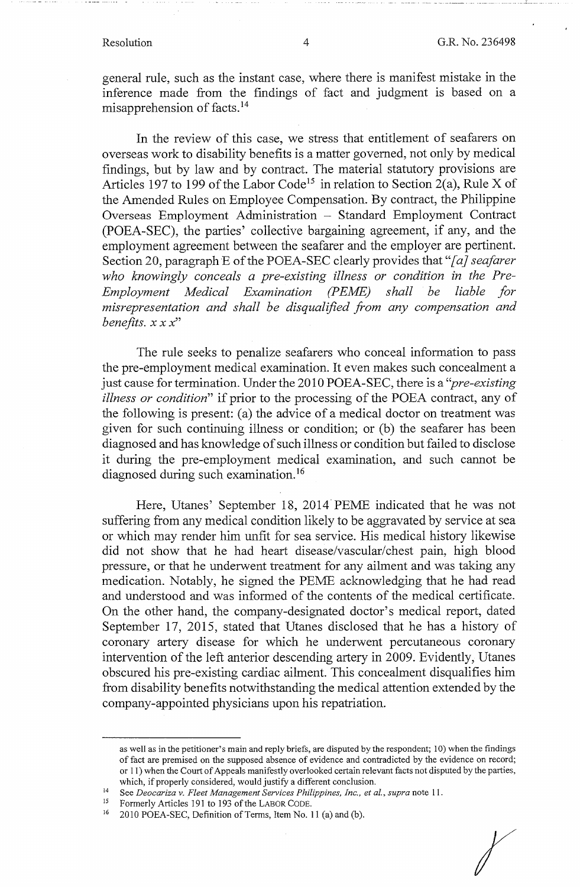general rule, such as the instant case, where there is manifest mistake in the inference made from the findings of fact and judgment is based on a misapprehension of facts. <sup>14</sup>

In the review of this case, we stress that entitlement of seafarers on overseas work to disability benefits is a matter governed, not only by medical findings, but by law and by contract. The material statutory provisions are Articles 197 to 199 of the Labor Code<sup>15</sup> in relation to Section 2(a), Rule X of the Amended Rules on Employee Compensation. By contract, the Philippine Overseas Employment Administration - Standard Employment Contract (POEA-SEC), the parties' collective bargaining agreement, if any, and the employment agreement between the seafarer and the employer are pertinent. Section 20, paragraph E of the POEA-SEC clearly provides that "[a] seafarer *who knowingly conceals a pre-existing illness or condition in the Pre-Employment Medical Examination (PEME) shall be liable for misrepresentation and shall be disqualified from any compensation and benefits. xx x"* 

The rule seeks to penalize seafarers who conceal information to pass the pre-employment medical examination. It even makes such concealment a just cause for termination. Under the 2010 POEA-SEC, there is a "*pre-existing illness or condition"* if prior to the processing of the POEA contract, any of the following is present: (a) the advice of a medical doctor on treatment was given for such continuing illness or condition; or (b) the seafarer has been diagnosed and has knowledge of such illness or condition but failed to disclose it during the pre-employment medical examination, and such cannot be diagnosed during such examination.<sup>16</sup>

Here, Utanes' September 18, 2014 PEME indicated that he was not suffering from any medical condition likely to be aggravated by service at sea or which may render him unfit for sea service. His medical history likewise did not show that he had heart disease/vascular/chest pain, high blood pressure, or that he underwent treatment for any ailment and was taking any medication. Notably, he signed the PEME acknowledging that he had read and understood and was informed of the contents of the medical certificate. On the other hand, the company-designated doctor's medical report, dated September 17, 2015, stated that Utanes disclosed that he has a history of coronary artery disease for which he underwent percutaneous coronary intervention of the left anterior descending artery in 2009. Evidently, Utanes obscured his pre-existing cardiac ailment. This concealment disqualifies him from disability benefits notwithstanding the medical attention extended by the company-appointed physicians upon his repatriation.

as well as in the petitioner's main and reply briefs, are disputed by the respondent; 10) when the findings of fact are premised on the supposed absence of evidence and contradicted by the evidence on record; or 11) when the Court of Appeals manifestly overlooked certain relevant facts not disputed by the parties,

which, if properly considered, would justify a different conclusion.<br><sup>14</sup> See *Deocariza v. Fleet Management Services Philippines, Inc., et al., supra* note 11.

<sup>&</sup>lt;sup>15</sup> Formerly Articles 191 to 193 of the LABOR CODE.<br><sup>16</sup> 2010 POEA-SEC, Definition of Terms, Item No. 11 (a) and (b).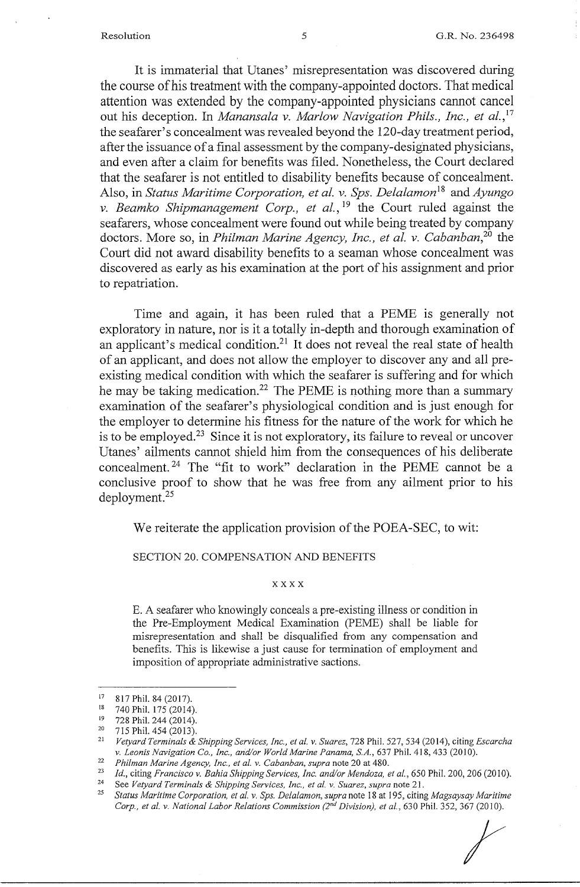It is immaterial that Utanes' misrepresentation was discovered during the course of his treatment with the company-appointed doctors. That medical attention was extended by the company-appointed physicians cannot cancel out his deception. In *Manansala v. Marlow Navigation Phils., Inc., et al.*,<sup>17</sup> the seafarer's concealment was revealed beyond the 120-day treatment period, after the issuance of a final assessment by the company-designated physicians, and even after a claim for benefits was filed. Nonetheless, the Court declared that the seafarer is not entitled to disability benefits because of concealment. Also, in *Status Maritime Corporation, et al. v. Sps. Delalamon*<sup>18</sup> and *Ayungo v. Beamko Shipmanagement Corp., et al.*, <sup>19</sup> the Court ruled against the seafarers, whose concealment were found out while being treated by company doctors. More so, in *Philman Marine Agency, Inc., et al. v. Cabanban, <sup>20</sup>*the Court did not award disability benefits to a seaman whose concealment was discovered as early as his examination at the port of his assignment and prior to repatriation.

Time and again, it has been ruled that a PEME is generally not exploratory in nature, nor is it a totally in-depth and thorough examination of an applicant's medical condition.<sup>21</sup> It does not reveal the real state of health of an applicant, and does not allow the employer to discover any and all preexisting medical condition with which the seafarer is suffering and for which he may be taking medication.<sup>22</sup> The PEME is nothing more than a summary examination of the seafarer's physiological condition and is just enough for the employer to determine his fitness for the nature of the work for which he is to be employed.<sup>23</sup> Since it is not exploratory, its failure to reveal or uncover Utanes' ailments cannot shield him from the consequences of his deliberate concealment. 24 The "fit to work" declaration in the PEME cannot be a conclusive proof to show that he was free from any ailment prior to his deployment.<sup>25</sup>

We reiterate the application provision of the POEA-SEC, to wit:

SECTION 20. COMPENSATION AND BENEFITS

### **xxxx**

E. A seafarer who knowingly conceals a pre-existing illness or condition in the Pre-Employment Medical Examination (PEME) shall be liable for misrepresentation and shall be disqualified from any compensation and benefits. This is likewise a just cause for termination of employment and imposition of appropriate administrative sactions.

 $^{17}$  817 Phil. 84 (2017).

<sup>18 740</sup> Phil. 175 (2014).<br>
<sup>19</sup> 728 Phil. 244 (2014).<br>
<sup>20</sup> 715 Phil. 454 (2013).<br> *Vetyard Terminals & Shipping Services, Inc., et al. v. Suarez, 728 Phil. 527, 534 (2014), citing <i>Escarcha*<br> *v. Leonis Navigation Co., Inc* 

<sup>&</sup>lt;sup>22</sup> Philman Marine Agency, Inc., et al. v. Cabanban, supra note 20 at 480.<br><sup>23</sup> Id., citing Francisco v. Bahia Shipping Services, Inc. and/or Mendoza, et al., 650 Phil. 200, 206 (2010).<br><sup>24</sup> See Vetyard Terminals & Shipp <sup>25</sup>*Status Maritime Corporation, et al. v. Sps. Delalamon, supra* note 18 at 195, citing *Magsaysay Maritime Corp., et al. v. National Labor Relations Commission (2*nd *Division), et al.,* 630 Phil. 352, 367 (2010).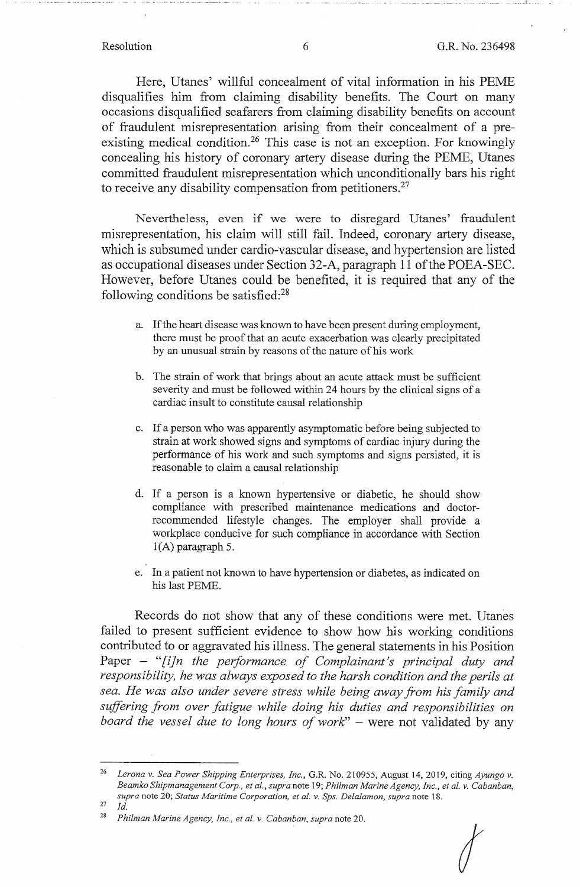Here, Utanes' willful concealment of vital information in his PEME disqualifies him from claiming disability benefits. The Court on many occasions disqualified seafarers from claiming disability benefits on account of fraudulent misrepresentation arising from their concealment of a preexisting medical condition.<sup>26</sup> This case is not an exception. For knowingly concealing his history of coronary artery disease during the PEME, Utanes committed fraudulent misrepresentation which unconditionally bars his right to receive any disability compensation from petitioners.<sup>27</sup>

Nevertheless, even if we were to disregard Utanes' fraudulent misrepresentation, his claim will still fail. Indeed, coronary artery disease, which is subsumed under cardio-vascular disease, and hypertension are listed as occupational diseases under Section 32-A, paragraph 11 ofthe POEA-SEC. However, before Utanes could be benefited, it is required that any of the following conditions be satisfied:28

- a. If the heart disease was known to have been present during employment, there must be proof that an acute exacerbation was clearly precipitated by an unusual strain by reasons of the nature of his work
- b. The strain of work that brings about an acute attack must be sufficient severity and must be followed within 24 hours by the clinical signs of a cardiac insult to constitute causal relationship
- c. If a person who was apparently asymptomatic before being subjected to strain at work showed signs and symptoms of cardiac injury during the performance of his work and such symptoms and signs persisted, it is reasonable to claim a causal relationship
- d. If a person is a known hypertensive or diabetic, he should show compliance with prescribed maintenance medications and doctorrecommended lifestyle changes. The employer shall provide a workplace conducive for such compliance in accordance with Section l(A) paragraph 5.
- e. In a patient not known to have hypertension or diabetes, as indicated on his last PEME.

Records do not show that any of these conditions were met. Utanes failed to present sufficient evidence to show how his working conditions contributed to or aggravated his illness. The general statements in his Position Paper - *"[i]n the performance of Complainant's principal duty and responsibility, he was always exposed to the harsh condition and the perils at sea. He was also under severe stress while being away from his family and suffering from over fatigue while doing his duties and responsibilities on board the vessel due to long hours of work*" – were not validated by any

*I* 

<sup>26</sup>*Lerona v. Sea Power Shipping Enterprises, Inc.,* G.R. No. 210955, August 14, 2019, citing *Ayungo v. Beamko Shipmanagement Corp., et al., supra* note 19; *Philman Marine Agency, Inc., et al. v. Cabanban, supra* note 20; *Status Maritime Corporation, et al. v. Sps. Delalamon, supra* note 18. 27 *Id.* 

<sup>28</sup>*Philman Marine Agency, Inc., et al. v. Cabanban, supra* note 20.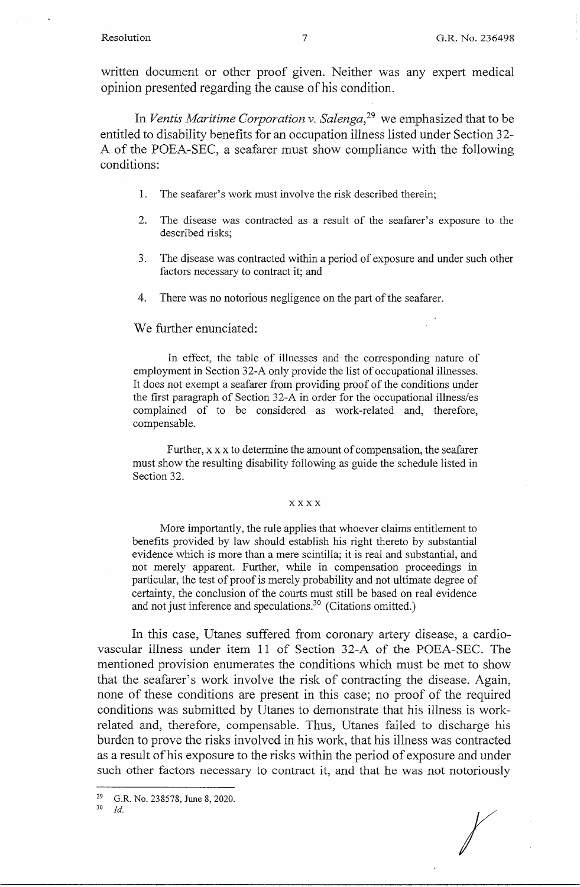written document or other proof given. Neither was any expert medical opinion presented regarding the cause of his condition.

In *Ventis Maritime Corporation v. Salenga,* 29 we emphasized that to be entitled to disability benefits for an occupation illness listed under Section 32- A of the POEA-SEC, a seafarer must show compliance with the following conditions:

- 1. The seafarer's work must involve the risk described therein;
- 2. The disease was contracted as a result of the seafarer's exposure to the described risks;
- 3. The disease was contracted within a period of exposure and under such other factors necessary to contract it; and
- 4. There was no notorious negligence on the part of the seafarer.

## We further enunciated:

In effect, the table of illnesses and the corresponding nature of employment in Section 32-A only provide the list of occupational illnesses. It does not exempt a seafarer from providing proof of the conditions under the first paragraph of Section 32-A in order for the occupational illness/es complained of to be considered as work-related and, therefore, compensable.

Further, xx x to determine the amount of compensation, the seafarer must show the resulting disability following as guide the schedule listed in Section 32.

### xxxx

More importantly, the rule applies that whoever claims entitlement to benefits provided by law should establish his right thereto by substantial evidence which is more than a mere scintilla; it is real and substantial, and not merely apparent. Further, while in compensation proceedings in particular, the test of proof is merely probability and not ultimate degree of certainty, the conclusion of the courts must still be based on real evidence and not just inference and speculations.<sup>30</sup> (Citations omitted.)

In this case, Utanes suffered from coronary artery disease, a cardiovascular illness under item 11 of Section 32-A of the POEA-SEC. The mentioned provision enumerates the conditions which must be met to show that the seafarer's work involve the risk of contracting the disease. Again, none of these conditions are present in this case; no proof of the required conditions was submitted by Utanes to demonstrate that his illness is workrelated and, therefore, compensable. Thus, Utanes failed to discharge his burden to prove the risks involved in his work, that his illness was contracted as a result of his exposure to the risks within the period of exposure and under such other factors necessary to contract it, and that he was not notoriously

<sup>&</sup>lt;sup>29</sup> G.R. No. 238578, June 8, 2020.

<sup>30</sup> *Id.*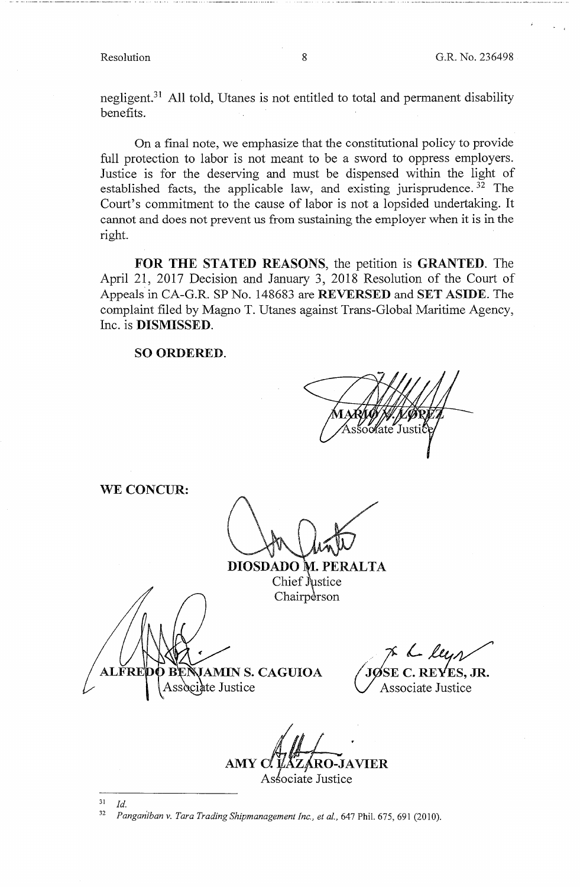negligent.<sup>31</sup> All told, Utanes is not entitled to total and permanent disability benefits.

On a final note, we emphasize that the constitutional policy to provide full protection to labor is not meant to be a sword to oppress employers. Justice is for the deserving and must be dispensed within the light of established facts, the applicable law, and existing jurisprudence.<sup>32</sup> The Court's commitment to the cause of labor is not a lopsided undertaking. It cannot and does not prevent us from sustaining the employer when it is in the right.

**FOR THE STATED REASONS,** the petition is **GRANTED.** The April 21, 2017 Decision and January 3, 2018 Resolution of the Court of Appeals in CA-G.R. SP No. 148683 are **REVERSED** and SET **ASIDE.** The complaint filed by Magno T. Utanes against Trans-Global Maritime Agency, Inc. is **DISMISSED.** 

**SO ORDERED.** 

c⁄⁄ate Justi

**WE CONCUR:** 

**DIOSDADO M. PERALTA** Chief Justice Chairperson

ALFRI **JAMIN S. CAGUIOA** ociate Justice

Je le leyer **S. JR.** 

Associate Justice

AMY C. LAZARO-JAVIER Associate Justice

 $31$  *Id.* 

<sup>32</sup> Panganiban v. Tara Trading Shipmanagement Inc., et al., 647 Phil. 675, 691 (2010).